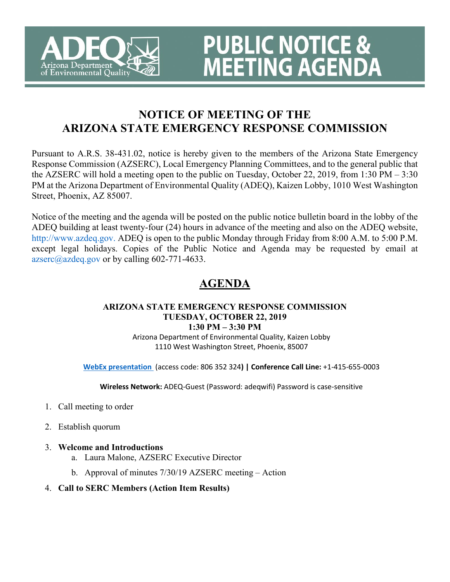

# **NOTICE OF MEETING OF THE ARIZONA STATE EMERGENCY RESPONSE COMMISSION**

**PUBLIC NOTICE &** 

**MEETING AGENDA** 

Pursuant to A.R.S. 38-431.02, notice is hereby given to the members of the Arizona State Emergency Response Commission (AZSERC), Local Emergency Planning Committees, and to the general public that the AZSERC will hold a meeting open to the public on Tuesday, October 22, 2019, from 1:30 PM – 3:30 PM at the Arizona Department of Environmental Quality (ADEQ), Kaizen Lobby, 1010 West Washington Street, Phoenix, AZ 85007.

Notice of the meeting and the agenda will be posted on the public notice bulletin board in the lobby of the ADEQ building at least twenty-four (24) hours in advance of the meeting and also on the ADEQ website, http://www.azdeq.gov. ADEQ is open to the public Monday through Friday from 8:00 A.M. to 5:00 P.M. except legal holidays. Copies of the Public Notice and Agenda may be requested by email at  $azsec@aze@.gov$  or by calling 602-771-4633.

# **AGENDA**

### **ARIZONA STATE EMERGENCY RESPONSE COMMISSION TUESDAY, OCTOBER 22, 2019**

**1:30 PM – 3:30 PM** Arizona Department of Environmental Quality, Kaizen Lobby 1110 West Washington Street, Phoenix, 85007

**[WebEx presentation](https://azgov.webex.com/azgov/onstage/g.php?MTID=e18988a95ca93a624b5195d53c060859e)** (access code: 806 352 324**) | Conference Call Line:** +1-415-655-0003

**Wireless Network:** ADEQ-Guest (Password: adeqwifi) Password is case-sensitive

- 1. Call meeting to order
- 2. Establish quorum
- 3. **Welcome and Introductions**
	- a. Laura Malone, AZSERC Executive Director
	- b. Approval of minutes 7/30/19 AZSERC meeting Action
- 4. **Call to SERC Members (Action Item Results)**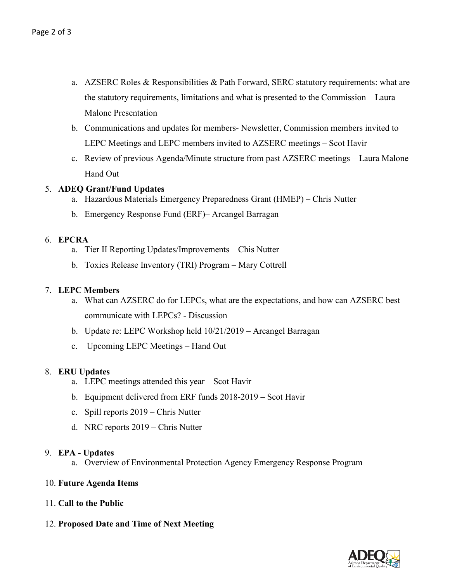- a. AZSERC Roles & Responsibilities & Path Forward, SERC statutory requirements: what are the statutory requirements, limitations and what is presented to the Commission – Laura Malone Presentation
- b. Communications and updates for members- Newsletter, Commission members invited to LEPC Meetings and LEPC members invited to AZSERC meetings – Scot Havir
- c. Review of previous Agenda/Minute structure from past AZSERC meetings Laura Malone Hand Out

#### 5. **ADEQ Grant/Fund Updates**

- a. Hazardous Materials Emergency Preparedness Grant (HMEP) Chris Nutter
- b. Emergency Response Fund (ERF)– Arcangel Barragan

#### 6. **EPCRA**

- a. Tier II Reporting Updates/Improvements Chis Nutter
- b. Toxics Release Inventory (TRI) Program Mary Cottrell

#### 7. **LEPC Members**

- a. What can AZSERC do for LEPCs, what are the expectations, and how can AZSERC best communicate with LEPCs? - Discussion
- b. Update re: LEPC Workshop held 10/21/2019 Arcangel Barragan
- c. Upcoming LEPC Meetings Hand Out

#### 8. **ERU Updates**

- a. LEPC meetings attended this year Scot Havir
- b. Equipment delivered from ERF funds 2018-2019 Scot Havir
- c. Spill reports 2019 Chris Nutter
- d. NRC reports 2019 Chris Nutter

#### 9. **EPA - Updates**

- a. Overview of Environmental Protection Agency Emergency Response Program
- 10. **Future Agenda Items**
- 11. **Call to the Public**
- 12. **Proposed Date and Time of Next Meeting**